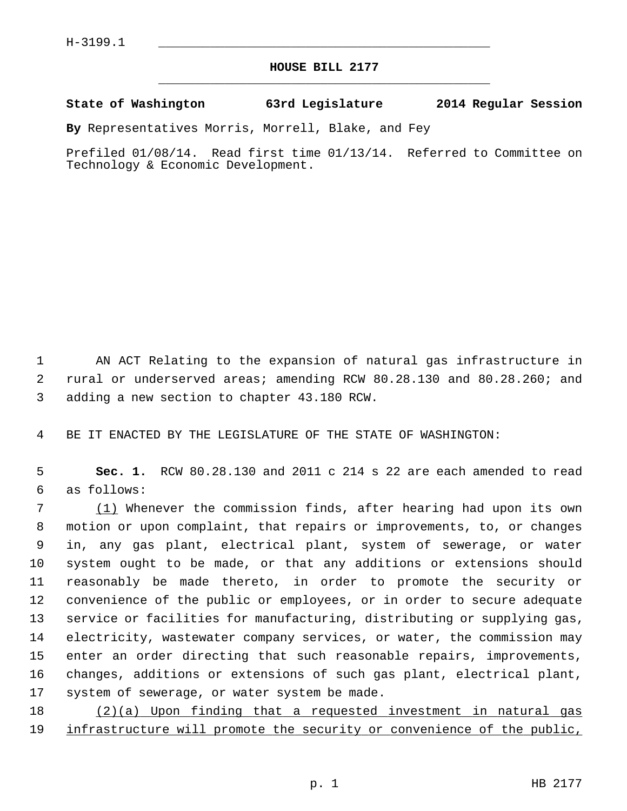## **HOUSE BILL 2177** \_\_\_\_\_\_\_\_\_\_\_\_\_\_\_\_\_\_\_\_\_\_\_\_\_\_\_\_\_\_\_\_\_\_\_\_\_\_\_\_\_\_\_\_\_

## **State of Washington 63rd Legislature 2014 Regular Session**

**By** Representatives Morris, Morrell, Blake, and Fey

Prefiled 01/08/14. Read first time 01/13/14. Referred to Committee on Technology & Economic Development.

 1 AN ACT Relating to the expansion of natural gas infrastructure in 2 rural or underserved areas; amending RCW 80.28.130 and 80.28.260; and 3 adding a new section to chapter 43.180 RCW.

4 BE IT ENACTED BY THE LEGISLATURE OF THE STATE OF WASHINGTON:

 5 **Sec. 1.** RCW 80.28.130 and 2011 c 214 s 22 are each amended to read 6 as follows:

 7 (1) Whenever the commission finds, after hearing had upon its own 8 motion or upon complaint, that repairs or improvements, to, or changes 9 in, any gas plant, electrical plant, system of sewerage, or water 10 system ought to be made, or that any additions or extensions should 11 reasonably be made thereto, in order to promote the security or 12 convenience of the public or employees, or in order to secure adequate 13 service or facilities for manufacturing, distributing or supplying gas, 14 electricity, wastewater company services, or water, the commission may 15 enter an order directing that such reasonable repairs, improvements, 16 changes, additions or extensions of such gas plant, electrical plant, 17 system of sewerage, or water system be made.

18 (2)(a) Upon finding that a requested investment in natural gas 19 infrastructure will promote the security or convenience of the public,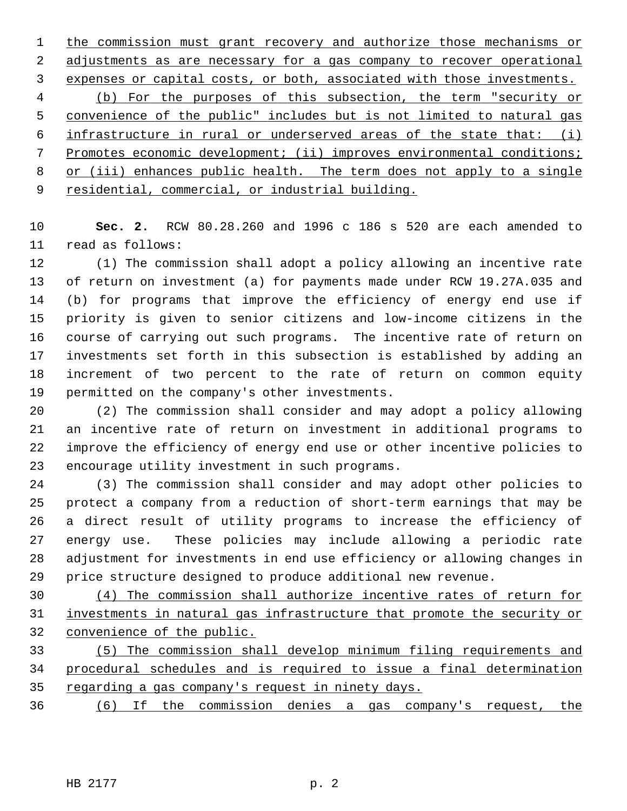the commission must grant recovery and authorize those mechanisms or adjustments as are necessary for a gas company to recover operational expenses or capital costs, or both, associated with those investments. (b) For the purposes of this subsection, the term "security or convenience of the public" includes but is not limited to natural gas infrastructure in rural or underserved areas of the state that: (i) Promotes economic development; (ii) improves environmental conditions; or (iii) enhances public health. The term does not apply to a single residential, commercial, or industrial building.

10 **Sec. 2.** RCW 80.28.260 and 1996 c 186 s 520 are each amended to 11 read as follows:

12 (1) The commission shall adopt a policy allowing an incentive rate 13 of return on investment (a) for payments made under RCW 19.27A.035 and 14 (b) for programs that improve the efficiency of energy end use if 15 priority is given to senior citizens and low-income citizens in the 16 course of carrying out such programs. The incentive rate of return on 17 investments set forth in this subsection is established by adding an 18 increment of two percent to the rate of return on common equity 19 permitted on the company's other investments.

20 (2) The commission shall consider and may adopt a policy allowing 21 an incentive rate of return on investment in additional programs to 22 improve the efficiency of energy end use or other incentive policies to 23 encourage utility investment in such programs.

24 (3) The commission shall consider and may adopt other policies to 25 protect a company from a reduction of short-term earnings that may be 26 a direct result of utility programs to increase the efficiency of 27 energy use. These policies may include allowing a periodic rate 28 adjustment for investments in end use efficiency or allowing changes in 29 price structure designed to produce additional new revenue.

30 (4) The commission shall authorize incentive rates of return for 31 investments in natural gas infrastructure that promote the security or 32 convenience of the public.

33 (5) The commission shall develop minimum filing requirements and 34 procedural schedules and is required to issue a final determination 35 regarding a gas company's request in ninety days.

36 (6) If the commission denies a gas company's request, the